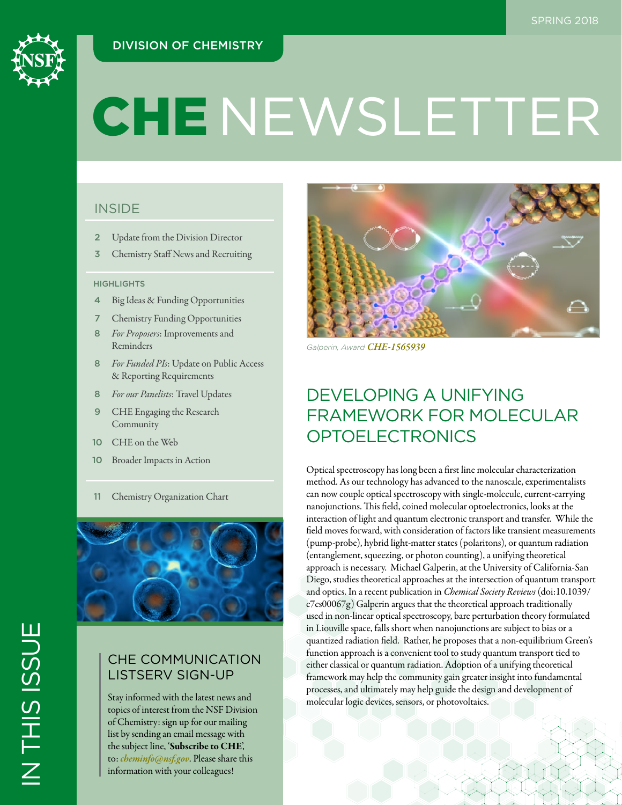# DIVISION OF CHEMISTRY



# **CHENEWSLETTER**

# **INSIDE**

- 2 Update from the Division Director
- 3 Chemistry Staff News and Recruiting

### **HIGHLIGHTS**

- 4 Big Ideas & Funding Opportunities
- 7 Chemistry Funding Opportunities
- 8 *For Proposers*: Improvements and Reminders
- 8 *For Funded PIs*: Update on Public Access & Reporting Requirements
- 8 *For our Panelists*: Travel Updates
- 9 CHE Engaging the Research Community
- 10 CHE on the Web
- 10 Broader Impacts in Action
- 11 Chemistry Organization Chart



# CHE COMMUNICATION LISTSERV SIGN-UP

Stay informed with the latest news and topics of interest from the NSF Division of Chemistry: sign up for our mailing list by sending an email message with the subject line, 'Subscribe to CHE', to: *[cheminfo@nsf.gov](mailto:cheminfo%40nsf.gov?subject=)*. Please share this information with your colleagues!



*Galperin, Award [CHE-1565939](https://www.nsf.gov/awardsearch/showAward?AWD_ID=1565939)*

# DEVELOPING A UNIFYING FRAMEWORK FOR MOLECULAR OPTOELECTRONICS

Optical spectroscopy has long been a first line molecular characterization method. As our technology has advanced to the nanoscale, experimentalists can now couple optical spectroscopy with single-molecule, current-carrying nanojunctions. This field, coined molecular optoelectronics, looks at the interaction of light and quantum electronic transport and transfer. While the field moves forward, with consideration of factors like transient measurements (pump-probe), hybrid light-matter states (polaritons), or quantum radiation (entanglement, squeezing, or photon counting), a unifying theoretical approach is necessary. Michael Galperin, at the University of California-San Diego, studies theoretical approaches at the intersection of quantum transport and optics. In a recent publication in *Chemical Society Reviews* (doi:10.1039/ c7cs00067g) Galperin argues that the theoretical approach traditionally used in non-linear optical spectroscopy, bare perturbation theory formulated in Liouville space, falls short when nanojunctions are subject to bias or a quantized radiation field. Rather, he proposes that a non-equilibrium Green's function approach is a convenient tool to study quantum transport tied to either classical or quantum radiation. Adoption of a unifying theoretical framework may help the community gain greater insight into fundamental processes, and ultimately may help guide the design and development of molecular logic devices, sensors, or photovoltaics.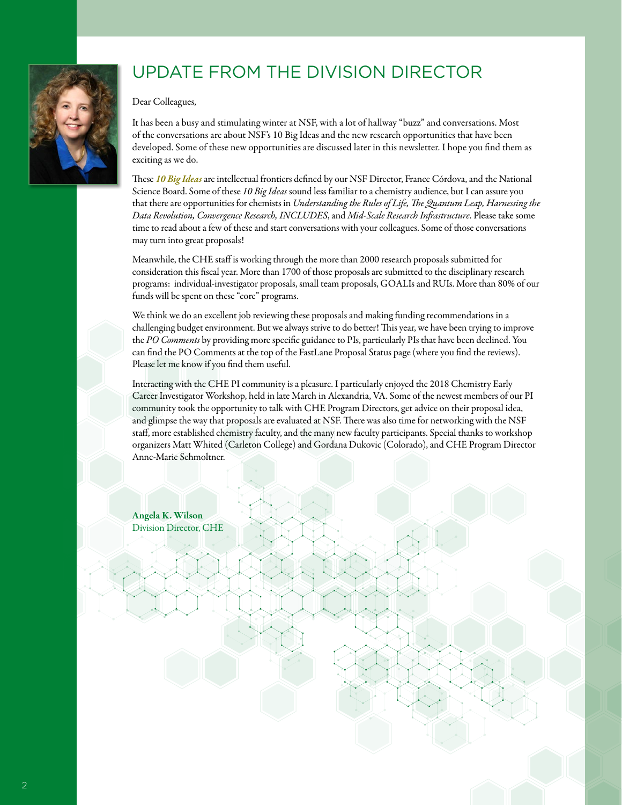# UPDATE FROM THE DIVISION DIRECTOR

Dear Colleagues,

It has been a busy and stimulating winter at NSF, with a lot of hallway "buzz" and conversations. Most of the conversations are about NSF's 10 Big Ideas and the new research opportunities that have been developed. Some of these new opportunities are discussed later in this newsletter. I hope you find them as exciting as we do.

These *[10 Big Ideas](https://www.nsf.gov/news/special_reports/big_ideas/)* are intellectual frontiers defined by our NSF Director, France Córdova, and the National Science Board. Some of these *10 Big Ideas* sound less familiar to a chemistry audience, but I can assure you that there are opportunities for chemists in *Understanding the Rules of Life, The Quantum Leap, Harnessing the Data Revolution, Convergence Research, INCLUDES*, and *Mid-Scale Research Infrastructure*. Please take some time to read about a few of these and start conversations with your colleagues. Some of those conversations may turn into great proposals!

Meanwhile, the CHE staff is working through the more than 2000 research proposals submitted for consideration this fiscal year. More than 1700 of those proposals are submitted to the disciplinary research programs: individual-investigator proposals, small team proposals, GOALIs and RUIs. More than 80% of our funds will be spent on these "core" programs.

We think we do an excellent job reviewing these proposals and making funding recommendations in a challenging budget environment. But we always strive to do better! This year, we have been trying to improve the *PO Comments* by providing more specific guidance to PIs, particularly PIs that have been declined. You can find the PO Comments at the top of the FastLane Proposal Status page (where you find the reviews). Please let me know if you find them useful.

Interacting with the CHE PI community is a pleasure. I particularly enjoyed the 2018 Chemistry Early Career Investigator Workshop, held in late March in Alexandria, VA. Some of the newest members of our PI community took the opportunity to talk with CHE Program Directors, get advice on their proposal idea, and glimpse the way that proposals are evaluated at NSF. There was also time for networking with the NSF staff, more established chemistry faculty, and the many new faculty participants. Special thanks to workshop organizers Matt Whited (Carleton College) and Gordana Dukovic (Colorado), and CHE Program Director Anne-Marie Schmoltner.

Angela K. Wilson Division Director, CHE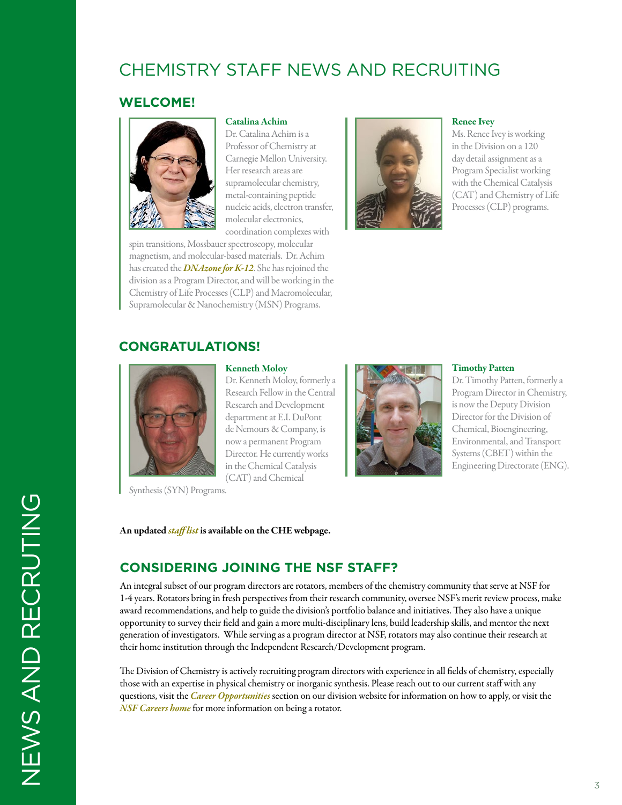# CHEMISTRY STAFF NEWS AND RECRUITING

## **WELCOME!**



Catalina Achim

Dr. Catalina Achim is a Professor of Chemistry at Carnegie Mellon University. Her research areas are supramolecular chemistry, metal-containing peptide nucleic acids, electron transfer, molecular electronics, coordination complexes with

spin transitions, Mossbauer spectroscopy, molecular magnetism, and molecular-based materials. Dr. Achim has created the *[DNAzone for K-12](http://www.nsf.gov/cgi-bin/goodbye?https://www.cmu.edu/cnast/outreach-dnazone/)*. She has rejoined the division as a Program Director, and will be working in the Chemistry of Life Processes (CLP) and Macromolecular, Supramolecular & Nanochemistry (MSN) Programs.



#### Renee Ivey

Ms. Renee Ivey is working in the Division on a 120 day detail assignment as a Program Specialist working with the Chemical Catalysis (CAT) and Chemistry of Life Processes (CLP) programs.

## **CONGRATULATIONS!**



#### Kenneth Moloy

Dr. Kenneth Moloy, formerly a Research Fellow in the Central Research and Development department at E.I. DuPont de Nemours & Company, is now a permanent Program Director. He currently works in the Chemical Catalysis (CAT) and Chemical

Synthesis (SYN) Programs.

#### An updated *[staff list](https://www.nsf.gov/staff/staff_list.jsp?org=CHE&from_org=CHE)* is available on the CHE webpage.



#### Timothy Patten

Dr. Timothy Patten, formerly a Program Director in Chemistry, is now the Deputy Division Director for the Division of Chemical, Bioengineering, Environmental, and Transport Systems (CBET) within the Engineering Directorate (ENG).

## **CONSIDERING JOINING THE NSF STAFF?**

An integral subset of our program directors are rotators, members of the chemistry community that serve at NSF for 1-4 years. Rotators bring in fresh perspectives from their research community, oversee NSF's merit review process, make award recommendations, and help to guide the division's portfolio balance and initiatives. They also have a unique opportunity to survey their field and gain a more multi-disciplinary lens, build leadership skills, and mentor the next generation of investigators. While serving as a program director at NSF, rotators may also continue their research at their home institution through the Independent Research/Development program.

The Division of Chemistry is actively recruiting program directors with experience in all fields of chemistry, especially those with an expertise in physical chemistry or inorganic synthesis. Please reach out to our current staff with any questions, visit the *[Career Opportunities](https://www.nsf.gov/pubs/2016/che16001/che16001.jsp?org=NSF)* section on our division website for information on how to apply, or visit the *[NSF Careers home](https://www.nsf.gov/careers/rotator/)* for more information on being a rotator.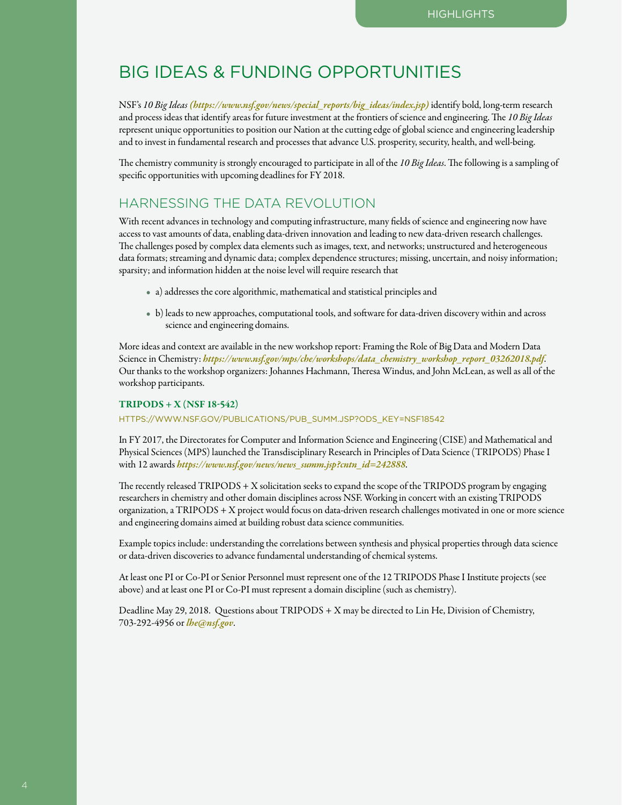# BIG IDEAS & FUNDING OPPORTUNITIES

NSF's *10 Big Ideas[\(https://www.nsf.gov/news/special\\_reports/big\\_ideas/index.jsp\)](https://www.nsf.gov/news/special_reports/big_ideas/index.jsp)* identify bold, long-term research and process ideas that identify areas for future investment at the frontiers of science and engineering. The *10 Big Ideas* represent unique opportunities to position our Nation at the cutting edge of global science and engineering leadership and to invest in fundamental research and processes that advance U.S. prosperity, security, health, and well-being.

The chemistry community is strongly encouraged to participate in all of the *10 Big Ideas*. The following is a sampling of specific opportunities with upcoming deadlines for FY 2018.

## HARNESSING THE DATA REVOLUTION

With recent advances in technology and computing infrastructure, many fields of science and engineering now have access to vast amounts of data, enabling data-driven innovation and leading to new data-driven research challenges. The challenges posed by complex data elements such as images, text, and networks; unstructured and heterogeneous data formats; streaming and dynamic data; complex dependence structures; missing, uncertain, and noisy information; sparsity; and information hidden at the noise level will require research that

- a) addresses the core algorithmic, mathematical and statistical principles and
- b) leads to new approaches, computational tools, and software for data-driven discovery within and across science and engineering domains.

More ideas and context are available in the new workshop report: Framing the Role of Big Data and Modern Data Science in Chemistry: *[https://www.nsf.gov/mps/che/workshops/data\\_chemistry\\_workshop\\_report\\_03262018.pdf](https://www.nsf.gov/mps/che/workshops/data_chemistry_workshop_report_03262018.pdf)*. Our thanks to the workshop organizers: Johannes Hachmann, Theresa Windus, and John McLean, as well as all of the workshop participants.

#### $TRIPODS + X (NSF 18-542)$

[HTTPS://WWW.NSF.GOV/PUBLICATIONS/PUB\\_SUMM.JSP?ODS\\_KEY=NSF18542](https://www.nsf.gov/publications/pub_summ.jsp?ods_key=nsf18542)

In FY 2017, the Directorates for Computer and Information Science and Engineering (CISE) and Mathematical and Physical Sciences (MPS) launched the Transdisciplinary Research in Principles of Data Science (TRIPODS) Phase I with 12 awards *[https://www.nsf.gov/news/news\\_summ.jsp?cntn\\_id=242888](https://www.nsf.gov/news/news_summ.jsp?cntn_id=242888)*.

The recently released TRIPODS + X solicitation seeks to expand the scope of the TRIPODS program by engaging researchers in chemistry and other domain disciplines across NSF. Working in concert with an existing TRIPODS organization, a TRIPODS + X project would focus on data-driven research challenges motivated in one or more science and engineering domains aimed at building robust data science communities.

Example topics include: understanding the correlations between synthesis and physical properties through data science or data-driven discoveries to advance fundamental understanding of chemical systems.

At least one PI or Co-PI or Senior Personnel must represent one of the 12 TRIPODS Phase I Institute projects (see above) and at least one PI or Co-PI must represent a domain discipline (such as chemistry).

Deadline May 29, 2018. Questions about TRIPODS + X may be directed to Lin He, Division of Chemistry, 703-292-4956 or *[lhe@nsf.gov](mailto:lhe%40nsf.gov?subject=)*.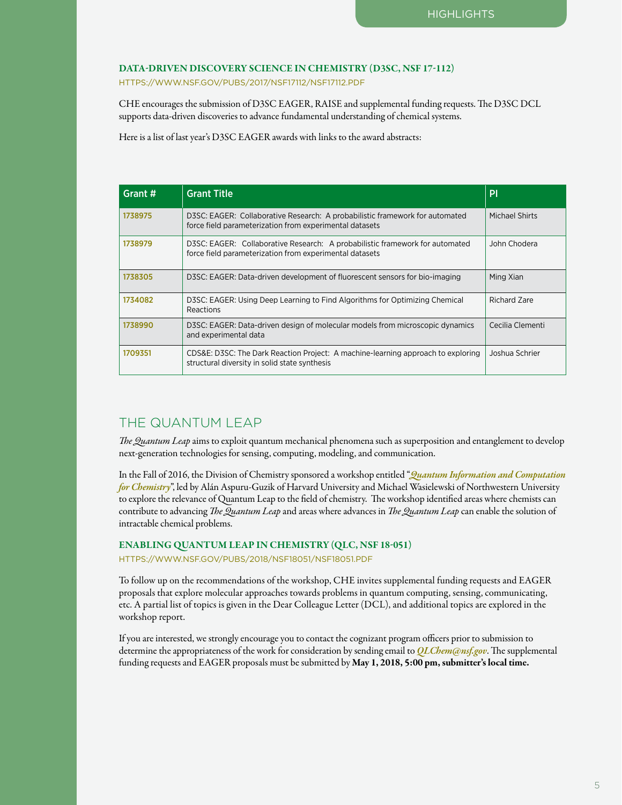#### DATA-DRIVEN DISCOVERY SCIENCE IN CHEMISTRY (D3SC, NSF 17-112)

[HTTPS://WWW.NSF.GOV/PUBS/2017/NSF17112/NSF17112.PDF](https://www.nsf.gov/awardsearch/showAward?AWD_ID=1565939)

CHE encourages the submission of D3SC EAGER, RAISE and supplemental funding requests. The D3SC DCL supports data-driven discoveries to advance fundamental understanding of chemical systems.

Here is a list of last year's D3SC EAGER awards with links to the award abstracts:

| Grant # | <b>Grant Title</b>                                                                                                                      | PI               |
|---------|-----------------------------------------------------------------------------------------------------------------------------------------|------------------|
| 1738975 | D3SC: EAGER: Collaborative Research: A probabilistic framework for automated<br>force field parameterization from experimental datasets | Michael Shirts   |
| 1738979 | D3SC: EAGER: Collaborative Research: A probabilistic framework for automated<br>force field parameterization from experimental datasets | John Chodera     |
| 1738305 | D3SC: EAGER: Data-driven development of fluorescent sensors for bio-imaging                                                             | Ming Xian        |
| 1734082 | D3SC: EAGER: Using Deep Learning to Find Algorithms for Optimizing Chemical<br>Reactions                                                | Richard Zare     |
| 1738990 | D3SC: EAGER: Data-driven design of molecular models from microscopic dynamics<br>and experimental data                                  | Cecilia Clementi |
| 1709351 | CDS&E: D3SC: The Dark Reaction Project: A machine-learning approach to exploring<br>structural diversity in solid state synthesis       | Joshua Schrier   |

# THE QUANTUM LEAP

*The Quantum Leap* aims to exploit quantum mechanical phenomena such as superposition and entanglement to develop next-generation technologies for sensing, computing, modeling, and communication.

In the Fall of 2016, the Division of Chemistry sponsored a workshop entitled "*[Quantum Information and Computation](https://www.nsf.gov/mps/che/workshops/che_qis_workshop_november_2016.pdf)  [for Chemistry](https://www.nsf.gov/mps/che/workshops/che_qis_workshop_november_2016.pdf)*", led by Alán Aspuru-Guzik of Harvard University and Michael Wasielewski of Northwestern University to explore the relevance of Quantum Leap to the field of chemistry. The workshop identified areas where chemists can contribute to advancing *The Quantum Leap* and areas where advances in *The Quantum Leap* can enable the solution of intractable chemical problems.

ENABLING QUANTUM LEAP IN CHEMISTRY (QLC, NSF 18-051)

[HTTPS://WWW.NSF.GOV/PUBS/2018/NSF18051/NSF18051.PDF](https://www.nsf.gov/pubs/2018/nsf18051/nsf18051.pdf)

To follow up on the recommendations of the workshop, CHE invites supplemental funding requests and EAGER proposals that explore molecular approaches towards problems in quantum computing, sensing, communicating, etc. A partial list of topics is given in the Dear Colleague Letter (DCL), and additional topics are explored in the workshop report.

If you are interested, we strongly encourage you to contact the cognizant program officers prior to submission to determine the appropriateness of the work for consideration by sending email to *[QLChem@nsf.gov](mailto:QLChem%40nsf.gov?subject=)*. The supplemental funding requests and EAGER proposals must be submitted by May 1, 2018, 5:00 pm, submitter's local time.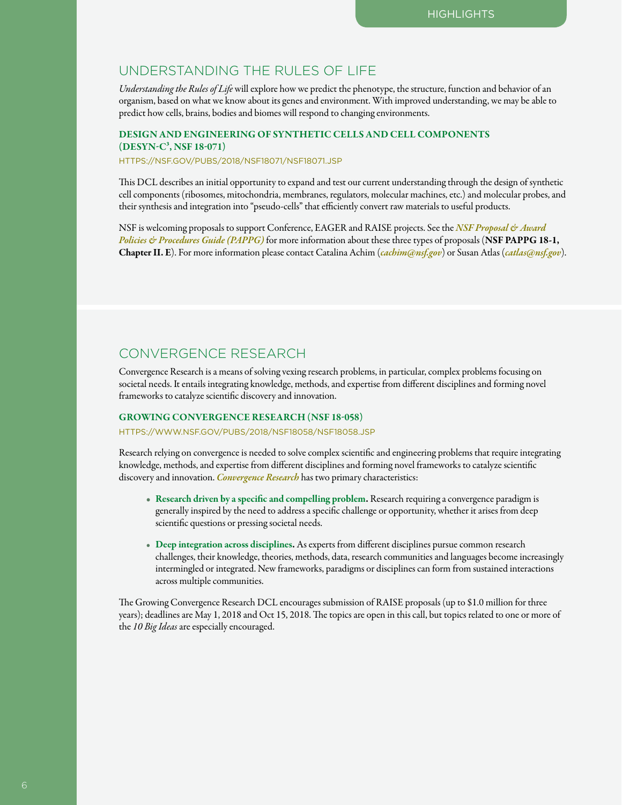## UNDERSTANDING THE RULES OF LIFE

*Understanding the Rules of Life* will explore how we predict the phenotype, the structure, function and behavior of an organism, based on what we know about its genes and environment. With improved understanding, we may be able to predict how cells, brains, bodies and biomes will respond to changing environments.

### DESIGN AND ENGINEERING OF SYNTHETIC CELLS AND CELL COMPONENTS (DESYN-C3, NSF 18-071)

[HTTPS://NSF.GOV/PUBS/2018/NSF18071/NSF18071.JSP](https://nsf.gov/pubs/2018/nsf18071/nsf18071.jsp)

This DCL describes an initial opportunity to expand and test our current understanding through the design of synthetic cell components (ribosomes, mitochondria, membranes, regulators, molecular machines, etc.) and molecular probes, and their synthesis and integration into "pseudo-cells" that efficiently convert raw materials to useful products.

NSF is welcoming proposals to support Conference, EAGER and RAISE projects. See the *NSF Proposal & Award [Policies & Procedures Guide \(PAPPG\)](https://www.nsf.gov/publications/pub_summ.jsp?ods_key=papp)* for more information about these three types of proposals (NSF PAPPG 18-1, Chapter II. E). For more information please contact Catalina Achim (*[cachim@nsf.gov](mailto:cachim%40nsf.gov?subject=)*) or Susan Atlas (*[catlas@nsf.gov](mailto:catlas%40nsf.gov?subject=)*).

## CONVERGENCE RESEARCH

Convergence Research is a means of solving vexing research problems, in particular, complex problems focusing on societal needs. It entails integrating knowledge, methods, and expertise from different disciplines and forming novel frameworks to catalyze scientific discovery and innovation.

## GROWING CONVERGENCE RESEARCH (NSF 18-058)

[HTTPS://WWW.NSF.GOV/PUBS/2018/NSF18058/NSF18058.JSP](https://www.nsf.gov/pubs/2018/nsf18058/nsf18058.jsp)

Research relying on convergence is needed to solve complex scientific and engineering problems that require integrating knowledge, methods, and expertise from different disciplines and forming novel frameworks to catalyze scientific discovery and innovation. *[Convergence Research](https://www.nsf.gov/od/oia/convergence/index.jsp)* has two primary characteristics:

- Research driven by a specific and compelling problem. Research requiring a convergence paradigm is generally inspired by the need to address a specific challenge or opportunity, whether it arises from deep scientific questions or pressing societal needs.
- Deep integration across disciplines. As experts from different disciplines pursue common research challenges, their knowledge, theories, methods, data, research communities and languages become increasingly intermingled or integrated. New frameworks, paradigms or disciplines can form from sustained interactions across multiple communities.

The Growing Convergence Research DCL encourages submission of RAISE proposals (up to \$1.0 million for three years); deadlines are May 1, 2018 and Oct 15, 2018. The topics are open in this call, but topics related to one or more of the *10 Big Ideas* are especially encouraged.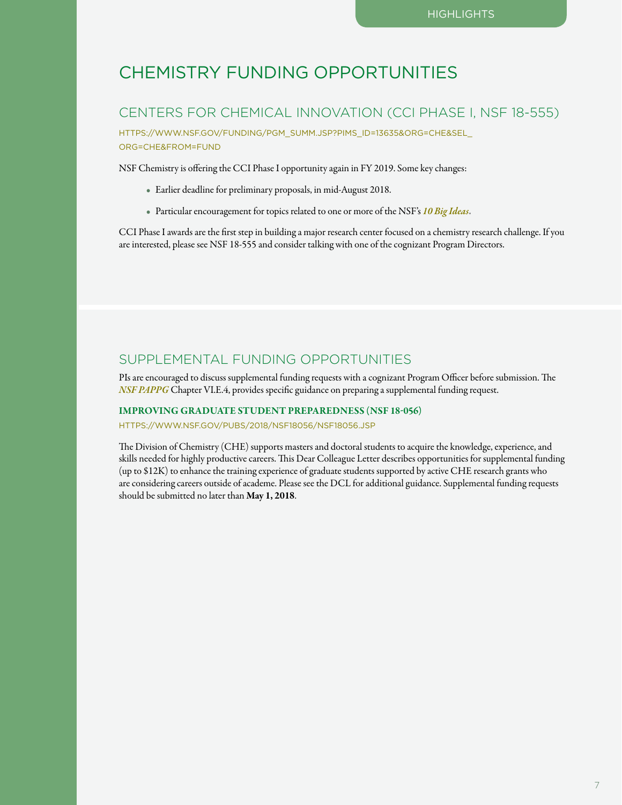# CHEMISTRY FUNDING OPPORTUNITIES

## CENTERS FOR CHEMICAL INNOVATION (CCI PHASE I, NSF 18-555)

[HTTPS://WWW.NSF.GOV/FUNDING/PGM\\_SUMM.JSP?PIMS\\_ID=13635&ORG=CHE&SEL\\_](https://www.nsf.gov/funding/pgm_summ.jsp?pims_id=13635&org=CHE&sel_org=CHE&from=fund) [ORG=CHE&FROM=FUND](https://www.nsf.gov/funding/pgm_summ.jsp?pims_id=13635&org=CHE&sel_org=CHE&from=fund)

NSF Chemistry is offering the CCI Phase I opportunity again in FY 2019. Some key changes:

- Earlier deadline for preliminary proposals, in mid-August 2018.
- Particular encouragement for topics related to one or more of the NSF's *[10 Big Ideas](https://www.nsf.gov/news/special_reports/big_ideas/index.jsp)*.

CCI Phase I awards are the first step in building a major research center focused on a chemistry research challenge. If you are interested, please see NSF 18-555 and consider talking with one of the cognizant Program Directors.

## SUPPLEMENTAL FUNDING OPPORTUNITIES

PIs are encouraged to discuss supplemental funding requests with a cognizant Program Officer before submission. The *[NSF PAPPG](https://www.nsf.gov/publications/pub_summ.jsp?ods_key=papp)* Chapter VI.E.4, provides specific guidance on preparing a supplemental funding request.

#### IMPROVING GRADUATE STUDENT PREPAREDNESS (NSF 18-056)

[HTTPS://WWW.NSF.GOV/PUBS/2018/NSF18056/NSF18056.JSP](https://www.nsf.gov/pubs/2018/nsf18056/nsf18056.jsp)

The Division of Chemistry (CHE) supports masters and doctoral students to acquire the knowledge, experience, and skills needed for highly productive careers. This Dear Colleague Letter describes opportunities for supplemental funding (up to \$12K) to enhance the training experience of graduate students supported by active CHE research grants who are considering careers outside of academe. Please see the DCL for additional guidance. Supplemental funding requests should be submitted no later than May 1, 2018.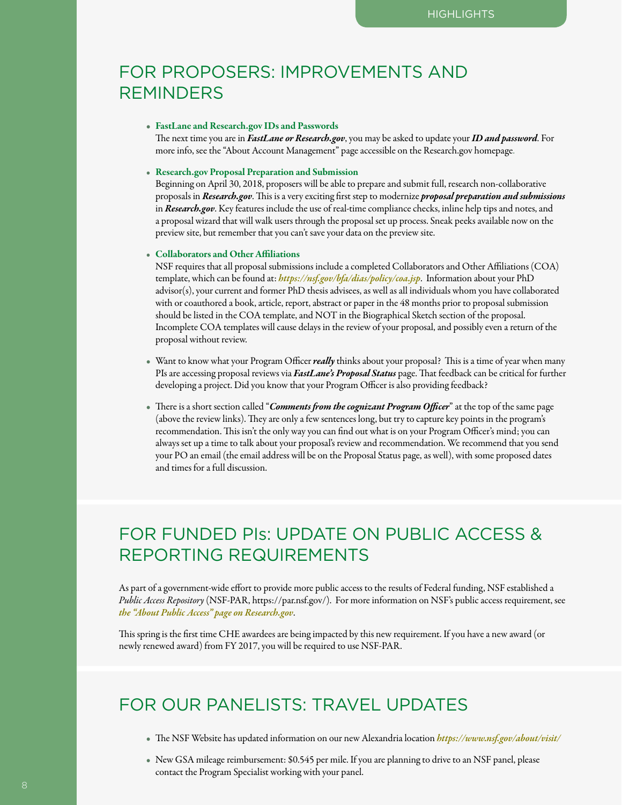# FOR PROPOSERS: IMPROVEMENTS AND **REMINDERS**

#### • FastLane and Research.gov IDs and Passwords

 The next time you are in *FastLane or Research.gov*, you may be asked to update your *ID and password*. For more info, see the "About Account Management" page accessible on the Research.gov homepage.

#### • Research.gov Proposal Preparation and Submission

 Beginning on April 30, 2018, proposers will be able to prepare and submit full, research non-collaborative proposals in *Research.gov*. This is a very exciting first step to modernize *proposal preparation and submissions* in *Research.gov*. Key features include the use of real-time compliance checks, inline help tips and notes, and a proposal wizard that will walk users through the proposal set up process. Sneak peeks available now on the preview site, but remember that you can't save your data on the preview site.

#### • Collaborators and Other Affiliations

 NSF requires that all proposal submissions include a completed Collaborators and Other Affiliations (COA) template, which can be found at: *<https://nsf.gov/bfa/dias/policy/coa.jsp>*. Information about your PhD advisor(s), your current and former PhD thesis advisees, as well as all individuals whom you have collaborated with or coauthored a book, article, report, abstract or paper in the 48 months prior to proposal submission should be listed in the COA template, and NOT in the Biographical Sketch section of the proposal. Incomplete COA templates will cause delays in the review of your proposal, and possibly even a return of the proposal without review.

- Want to know what your Program Officer*really* thinks about your proposal? This is a time of year when many PIs are accessing proposal reviews via *FastLane's Proposal Status* page. That feedback can be critical for further developing a project. Did you know that your Program Officer is also providing feedback?
- There is a short section called "*Comments from the cognizant Program Officer*" at the top of the same page (above the review links). They are only a few sentences long, but try to capture key points in the program's recommendation. This isn't the only way you can find out what is on your Program Officer's mind; you can always set up a time to talk about your proposal's review and recommendation. We recommend that you send your PO an email (the email address will be on the Proposal Status page, as well), with some proposed dates and times for a full discussion.

# FOR FUNDED PIs: UPDATE ON PUBLIC ACCESS & REPORTING REQUIREMENTS

As part of a government-wide effort to provide more public access to the results of Federal funding, NSF established a *Public Access Repository* (NSF-PAR, https://par.nsf.gov/). For more information on NSF's public access requirement, see *[the "About Public Access" page on Research.gov](https://www.nsf.gov/news/special_reports/public_access/)*.

This spring is the first time CHE awardees are being impacted by this new requirement. If you have a new award (or newly renewed award) from FY 2017, you will be required to use NSF-PAR.

# FOR OUR PANELISTS: TRAVEL UPDATES

- The NSF Website has updated information on our new Alexandria location *<https://www.nsf.gov/about/visit/>*
- New GSA mileage reimbursement: \$0.545 per mile. If you are planning to drive to an NSF panel, please contact the Program Specialist working with your panel.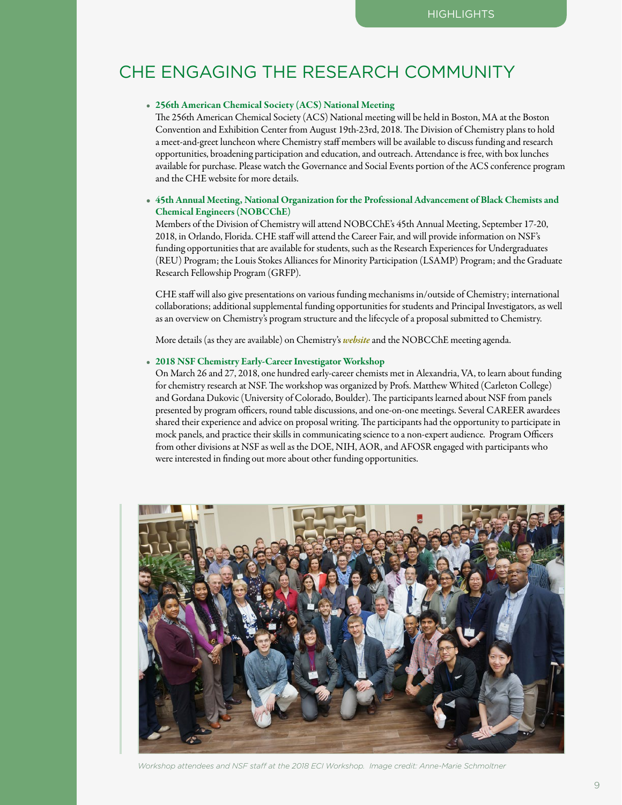# CHE ENGAGING THE RESEARCH COMMUNITY

## • 256th American Chemical Society (ACS) National Meeting

 The 256th American Chemical Society (ACS) National meeting will be held in Boston, MA at the Boston Convention and Exhibition Center from August 19th-23rd, 2018. The Division of Chemistry plans to hold a meet-and-greet luncheon where Chemistry staff members will be available to discuss funding and research opportunities, broadening participation and education, and outreach. Attendance is free, with box lunches available for purchase. Please watch the Governance and Social Events portion of the ACS conference program and the CHE website for more details.

## • 45th Annual Meeting, National Organization for the Professional Advancement of Black Chemists and Chemical Engineers (NOBCChE)

 Members of the Division of Chemistry will attend NOBCChE's 45th Annual Meeting, September 17-20, 2018, in Orlando, Florida. CHE staff will attend the Career Fair, and will provide information on NSF's funding opportunities that are available for students, such as the Research Experiences for Undergraduates (REU) Program; the Louis Stokes Alliances for Minority Participation (LSAMP) Program; and the Graduate Research Fellowship Program (GRFP).

CHE staff will also give presentations on various funding mechanisms in/outside of Chemistry; international collaborations; additional supplemental funding opportunities for students and Principal Investigators, as well as an overview on Chemistry's program structure and the lifecycle of a proposal submitted to Chemistry.

More details (as they are available) on Chemistry's *[website](https://www.nsf.gov/div/index.jsp?div=CHE)* and the NOBCChE meeting agenda.

#### • 2018 NSF Chemistry Early-Career Investigator Workshop

 On March 26 and 27, 2018, one hundred early-career chemists met in Alexandria, VA, to learn about funding for chemistry research at NSF. The workshop was organized by Profs. Matthew Whited (Carleton College) and Gordana Dukovic (University of Colorado, Boulder). The participants learned about NSF from panels presented by program officers, round table discussions, and one-on-one meetings. Several CAREER awardees shared their experience and advice on proposal writing. The participants had the opportunity to participate in mock panels, and practice their skills in communicating science to a non-expert audience. Program Officers from other divisions at NSF as well as the DOE, NIH, AOR, and AFOSR engaged with participants who were interested in finding out more about other funding opportunities.



*Workshop attendees and NSF staff at the 2018 ECI Workshop. Image credit: Anne-Marie Schmoltner*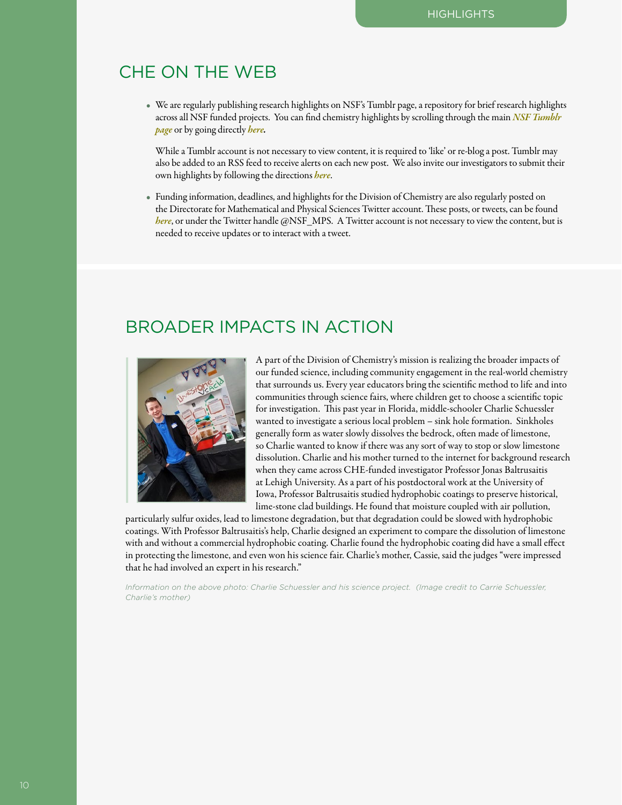# CHE ON THE WEB

• We are regularly publishing research highlights on NSF's Tumblr page, a repository for brief research highlights across all NSF funded projects. You can find chemistry highlights by scrolling through the main *[NSF Tumblr](http://www.nsf.gov/cgi-bin/goodbye?http://nationalsciencefoundation.tumblr.com)  [page](http://www.nsf.gov/cgi-bin/goodbye?http://nationalsciencefoundation.tumblr.com)* or by going directly *[here.](http://www.nsf.gov/cgi-bin/goodbye?http://nationalsciencefoundation.tumblr.com/tagged/chemistry)*

While a Tumblr account is not necessary to view content, it is required to 'like' or re-blog a post. Tumblr may also be added to an RSS feed to receive alerts on each new post. We also invite our investigators to submit their own highlights by following the directions *[here](https://www.nsf.gov/mps/che/Highlights/HighlightWebpages/highlights.jsp)*.

• Funding information, deadlines, and highlights for the Division of Chemistry are also regularly posted on the Directorate for Mathematical and Physical Sciences Twitter account. These posts, or tweets, can be found *[here](http://www.nsf.gov/cgi-bin/goodbye?https://twitter.com/nsf_mps?lang=en)*, or under the Twitter handle @NSF\_MPS. A Twitter account is not necessary to view the content, but is needed to receive updates or to interact with a tweet.

# BROADER IMPACTS IN ACTION



A part of the Division of Chemistry's mission is realizing the broader impacts of our funded science, including community engagement in the real-world chemistry that surrounds us. Every year educators bring the scientific method to life and into communities through science fairs, where children get to choose a scientific topic for investigation. This past year in Florida, middle-schooler Charlie Schuessler wanted to investigate a serious local problem – sink hole formation. Sinkholes generally form as water slowly dissolves the bedrock, often made of limestone, so Charlie wanted to know if there was any sort of way to stop or slow limestone dissolution. Charlie and his mother turned to the internet for background research when they came across CHE-funded investigator Professor Jonas Baltrusaitis at Lehigh University. As a part of his postdoctoral work at the University of Iowa, Professor Baltrusaitis studied hydrophobic coatings to preserve historical, lime-stone clad buildings. He found that moisture coupled with air pollution,

particularly sulfur oxides, lead to limestone degradation, but that degradation could be slowed with hydrophobic coatings. With Professor Baltrusaitis's help, Charlie designed an experiment to compare the dissolution of limestone with and without a commercial hydrophobic coating. Charlie found the hydrophobic coating did have a small effect in protecting the limestone, and even won his science fair. Charlie's mother, Cassie, said the judges "were impressed that he had involved an expert in his research."

*Information on the above photo: Charlie Schuessler and his science project. (Image credit to Carrie Schuessler, Charlie's mother)*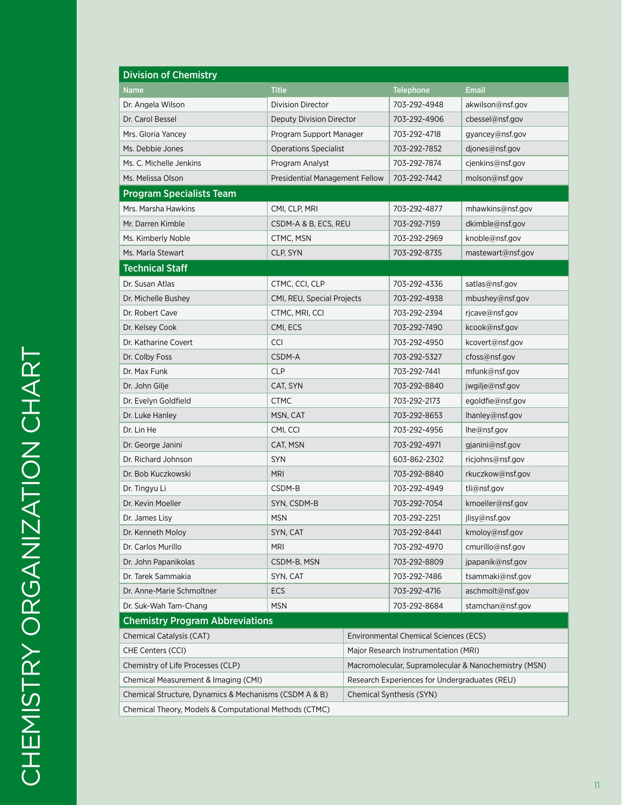| <b>Division of Chemistry</b>                           |                                                      |                                      |                  |                   |
|--------------------------------------------------------|------------------------------------------------------|--------------------------------------|------------------|-------------------|
| Name                                                   | <b>Title</b>                                         |                                      | <b>Telephone</b> | <b>Email</b>      |
| Dr. Angela Wilson                                      | Division Director                                    |                                      | 703-292-4948     | akwilson@nsf.gov  |
| Dr. Carol Bessel                                       | Deputy Division Director                             |                                      | 703-292-4906     | cbessel@nsf.gov   |
| Mrs. Gloria Yancey                                     | Program Support Manager                              |                                      | 703-292-4718     | gyancey@nsf.gov   |
| Ms. Debbie Jones                                       | <b>Operations Specialist</b>                         |                                      | 703-292-7852     | djones@nsf.gov    |
| Ms. C. Michelle Jenkins                                | Program Analyst                                      |                                      | 703-292-7874     | cjenkins@nsf.gov  |
| Ms. Melissa Olson                                      | Presidential Management Fellow                       |                                      | 703-292-7442     | molson@nsf.gov    |
| <b>Program Specialists Team</b>                        |                                                      |                                      |                  |                   |
| Mrs. Marsha Hawkins                                    | CMI, CLP, MRI                                        |                                      | 703-292-4877     | mhawkins@nsf.gov  |
| Mr. Darren Kimble                                      | CSDM-A & B, ECS, REU                                 |                                      | 703-292-7159     | dkimble@nsf.gov   |
| Ms. Kimberly Noble                                     | CTMC, MSN                                            |                                      |                  | knoble@nsf.gov    |
| Ms. Marla Stewart<br>CLP, SYN                          |                                                      |                                      | 703-292-8735     | mastewart@nsf.gov |
| <b>Technical Staff</b>                                 |                                                      |                                      |                  |                   |
| Dr. Susan Atlas                                        | CTMC, CCI, CLP                                       |                                      | 703-292-4336     | satlas@nsf.gov    |
| Dr. Michelle Bushey                                    | CMI, REU, Special Projects                           |                                      | 703-292-4938     | mbushey@nsf.gov   |
| Dr. Robert Cave<br>CTMC, MRI, CCI                      |                                                      |                                      | 703-292-2394     | rjcave@nsf.gov    |
| CMI, ECS<br>Dr. Kelsey Cook                            |                                                      |                                      | 703-292-7490     | kcook@nsf.gov     |
| Dr. Katharine Covert<br><b>CCI</b>                     |                                                      |                                      | 703-292-4950     | kcovert@nsf.gov   |
| CSDM-A<br>Dr. Colby Foss                               |                                                      |                                      | 703-292-5327     | cfoss@nsf.gov     |
| Dr. Max Funk                                           | <b>CLP</b>                                           |                                      | 703-292-7441     | mfunk@nsf.gov     |
| Dr. John Gilje                                         | CAT, SYN                                             |                                      |                  | jwgilje@nsf.gov   |
| Dr. Evelyn Goldfield                                   | CTMC                                                 |                                      | 703-292-2173     | egoldfie@nsf.gov  |
| Dr. Luke Hanley<br>MSN, CAT                            |                                                      |                                      | 703-292-8653     | lhanley@nsf.gov   |
| Dr. Lin He                                             | CMI, CCI                                             |                                      | 703-292-4956     | lhe@nsf.gov       |
| CAT, MSN<br>Dr. George Janini                          |                                                      |                                      | 703-292-4971     | gjanini@nsf.gov   |
| Dr. Richard Johnson                                    | <b>SYN</b>                                           |                                      | 603-862-2302     | ricjohns@nsf.gov  |
| <b>MRI</b><br>Dr. Bob Kuczkowski                       |                                                      |                                      | 703-292-8840     | rkuczkow@nsf.gov  |
| Dr. Tingyu Li                                          | CSDM-B                                               |                                      | 703-292-4949     | tli@nsf.gov       |
| Dr. Kevin Moeller<br>SYN, CSDM-B                       |                                                      |                                      | 703-292-7054     | kmoeller@nsf.gov  |
| Dr. James Lisy                                         | <b>MSN</b>                                           |                                      | 703-292-2251     | jlisy@nsf.gov     |
| Dr. Kenneth Moloy                                      | SYN, CAT                                             |                                      |                  | kmoloy@nsf.gov    |
| Dr. Carlos Murillo                                     | <b>MRI</b>                                           |                                      |                  | cmurillo@nsf.gov  |
| Dr. John Papanikolas                                   | CSDM-B, MSN                                          |                                      | 703-292-8809     | jpapanik@nsf.gov  |
| Dr. Tarek Sammakia                                     | SYN, CAT                                             |                                      | 703-292-7486     | tsammaki@nsf.gov  |
| Dr. Anne-Marie Schmoltner                              | ECS                                                  |                                      |                  | aschmolt@nsf.gov  |
| Dr. Suk-Wah Tam-Chang<br><b>MSN</b>                    |                                                      |                                      | 703-292-8684     | stamchan@nsf.gov  |
| <b>Chemistry Program Abbreviations</b>                 |                                                      |                                      |                  |                   |
| Chemical Catalysis (CAT)                               | <b>Environmental Chemical Sciences (ECS)</b>         |                                      |                  |                   |
| CHE Centers (CCI)                                      |                                                      | Major Research Instrumentation (MRI) |                  |                   |
| Chemistry of Life Processes (CLP)                      | Macromolecular, Supramolecular & Nanochemistry (MSN) |                                      |                  |                   |
| Chemical Measurement & Imaging (CMI)                   | Research Experiences for Undergraduates (REU)        |                                      |                  |                   |
| Chemical Structure, Dynamics & Mechanisms (CSDM A & B) | Chemical Synthesis (SYN)                             |                                      |                  |                   |
| Chemical Theory, Models & Computational Methods (CTMC) |                                                      |                                      |                  |                   |